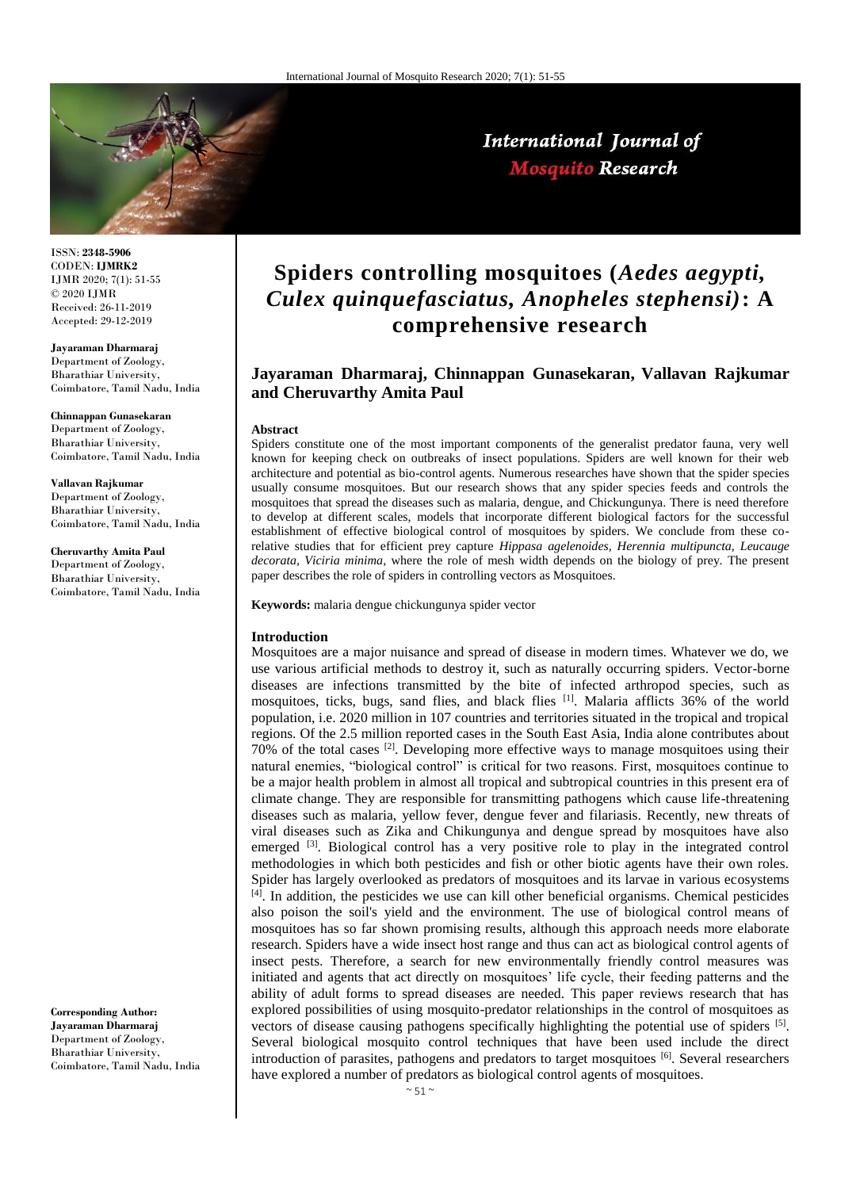

International Journal of **Mosquito Research** 

ISSN: **2348-5906** CODEN: **IJMRK2** IJMR 2020; 7(1): 51-55 © 2020 IJMR Received: 26-11-2019 Accepted: 29-12-2019

**Jayaraman Dharmaraj** Department of Zoology, Bharathiar University, Coimbatore, Tamil Nadu, India

**Chinnappan Gunasekaran** Department of Zoology,

Bharathiar University, Coimbatore, Tamil Nadu, India

#### **Vallavan Rajkumar**

Department of Zoology, Bharathiar University, Coimbatore, Tamil Nadu, India

**Cheruvarthy Amita Paul** Department of Zoology, Bharathiar University, Coimbatore, Tamil Nadu, India

**Corresponding Author: Jayaraman Dharmaraj** Department of Zoology, Bharathiar University, Coimbatore, Tamil Nadu, India

# **Spiders controlling mosquitoes (***Aedes aegypti, Culex quinquefasciatus, Anopheles stephensi)***: A comprehensive research**

## **Jayaraman Dharmaraj, Chinnappan Gunasekaran, Vallavan Rajkumar and Cheruvarthy Amita Paul**

#### **Abstract**

Spiders constitute one of the most important components of the generalist predator fauna, very well known for keeping check on outbreaks of insect populations. Spiders are well known for their web architecture and potential as bio-control agents. Numerous researches have shown that the spider species usually consume mosquitoes. But our research shows that any spider species feeds and controls the mosquitoes that spread the diseases such as malaria, dengue, and Chickungunya. There is need therefore to develop at different scales, models that incorporate different biological factors for the successful establishment of effective biological control of mosquitoes by spiders. We conclude from these corelative studies that for efficient prey capture *Hippasa agelenoides, Herennia multipuncta, Leucauge decorata, Viciria minima,* where the role of mesh width depends on the biology of prey. The present paper describes the role of spiders in controlling vectors as Mosquitoes.

**Keywords:** malaria dengue chickungunya spider vector

#### **Introduction**

Mosquitoes are a major nuisance and spread of disease in modern times. Whatever we do, we use various artificial methods to destroy it, such as naturally occurring spiders. Vector-borne diseases are infections transmitted by the bite of infected arthropod species, such as mosquitoes, ticks, bugs, sand flies, and black flies [1]. Malaria afflicts 36% of the world population, i.e. 2020 million in 107 countries and territories situated in the tropical and tropical regions. Of the 2.5 million reported cases in the South East Asia, India alone contributes about 70% of the total cases  $^{[2]}$ . Developing more effective ways to manage mosquitoes using their natural enemies, "biological control" is critical for two reasons. First, mosquitoes continue to be a major health problem in almost all tropical and subtropical countries in this present era of climate change. They are responsible for transmitting pathogens which cause life-threatening diseases such as malaria, yellow fever, dengue fever and filariasis. Recently, new threats of viral diseases such as Zika and Chikungunya and dengue spread by mosquitoes have also emerged <sup>[3]</sup>. Biological control has a very positive role to play in the integrated control methodologies in which both pesticides and fish or other biotic agents have their own roles. Spider has largely overlooked as predators of mosquitoes and its larvae in various ecosystems  $[4]$ . In addition, the pesticides we use can kill other beneficial organisms. Chemical pesticides also poison the soil's yield and the environment. The use of biological control means of mosquitoes has so far shown promising results, although this approach needs more elaborate research. Spiders have a wide insect host range and thus can act as biological control agents of insect pests. Therefore, a search for new environmentally friendly control measures was initiated and agents that act directly on mosquitoes' life cycle, their feeding patterns and the ability of adult forms to spread diseases are needed. This paper reviews research that has explored possibilities of using mosquito-predator relationships in the control of mosquitoes as vectors of disease causing pathogens specifically highlighting the potential use of spiders [5]. Several biological mosquito control techniques that have been used include the direct introduction of parasites, pathogens and predators to target mosquitoes [6]. Several researchers have explored a number of predators as biological control agents of mosquitoes.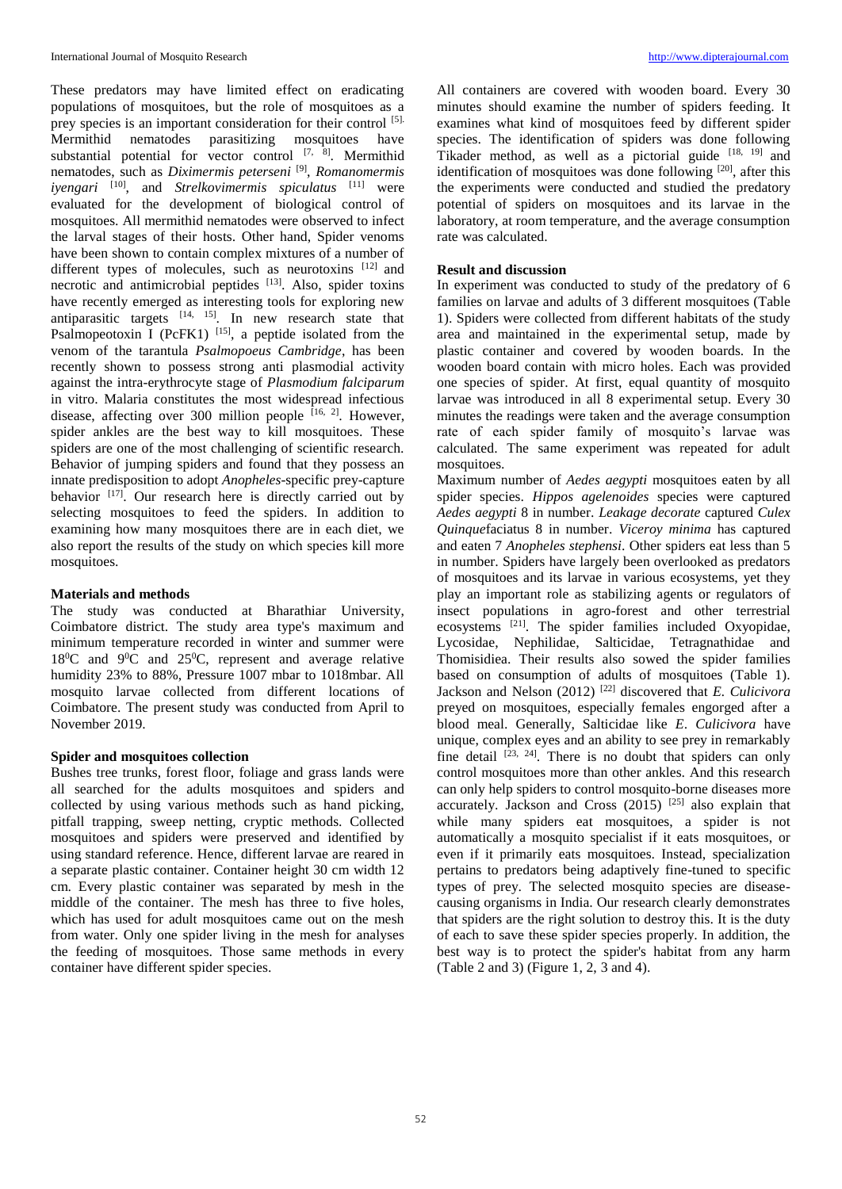These predators may have limited effect on eradicating populations of mosquitoes, but the role of mosquitoes as a prey species is an important consideration for their control [5]. Mermithid nematodes parasitizing mosquitoes have substantial potential for vector control  $[7, 8]$ . Mermithid nematodes, such as *Diximermis peterseni* [9] , *Romanomermis iyengari* [10], and *Strelkovimermis spiculatus* [11] were evaluated for the development of biological control of mosquitoes. All mermithid nematodes were observed to infect the larval stages of their hosts. Other hand, Spider venoms have been shown to contain complex mixtures of a number of different types of molecules, such as neurotoxins  $[12]$  and necrotic and antimicrobial peptides [13]. Also, spider toxins have recently emerged as interesting tools for exploring new antiparasitic targets  $[14, 15]$ . In new research state that Psalmopeotoxin I (PcFK1)  $^{[15]}$ , a peptide isolated from the venom of the tarantula *Psalmopoeus Cambridge*, has been recently shown to possess strong anti plasmodial activity against the intra-erythrocyte stage of *Plasmodium falciparum* in vitro. Malaria constitutes the most widespread infectious disease, affecting over 300 million people [16, 2]. However, spider ankles are the best way to kill mosquitoes. These spiders are one of the most challenging of scientific research. Behavior of jumping spiders and found that they possess an innate predisposition to adopt *Anopheles*-specific prey-capture behavior [17]. Our research here is directly carried out by selecting mosquitoes to feed the spiders. In addition to examining how many mosquitoes there are in each diet, we also report the results of the study on which species kill more mosquitoes.

## **Materials and methods**

The study was conducted at Bharathiar University, Coimbatore district. The study area type's maximum and minimum temperature recorded in winter and summer were  $18^{\circ}$ C and  $9^{\circ}$ C and  $25^{\circ}$ C, represent and average relative humidity 23% to 88%, Pressure 1007 mbar to 1018mbar. All mosquito larvae collected from different locations of Coimbatore. The present study was conducted from April to November 2019.

### **Spider and mosquitoes collection**

Bushes tree trunks, forest floor, foliage and grass lands were all searched for the adults mosquitoes and spiders and collected by using various methods such as hand picking, pitfall trapping, sweep netting, cryptic methods. Collected mosquitoes and spiders were preserved and identified by using standard reference. Hence, different larvae are reared in a separate plastic container. Container height 30 cm width 12 cm. Every plastic container was separated by mesh in the middle of the container. The mesh has three to five holes, which has used for adult mosquitoes came out on the mesh from water. Only one spider living in the mesh for analyses the feeding of mosquitoes. Those same methods in every container have different spider species.

All containers are covered with wooden board. Every 30 minutes should examine the number of spiders feeding. It examines what kind of mosquitoes feed by different spider species. The identification of spiders was done following Tikader method, as well as a pictorial guide  $[18, 19]$  and identification of mosquitoes was done following [20], after this the experiments were conducted and studied the predatory potential of spiders on mosquitoes and its larvae in the laboratory, at room temperature, and the average consumption rate was calculated.

## **Result and discussion**

In experiment was conducted to study of the predatory of 6 families on larvae and adults of 3 different mosquitoes (Table 1). Spiders were collected from different habitats of the study area and maintained in the experimental setup, made by plastic container and covered by wooden boards. In the wooden board contain with micro holes. Each was provided one species of spider. At first, equal quantity of mosquito larvae was introduced in all 8 experimental setup. Every 30 minutes the readings were taken and the average consumption rate of each spider family of mosquito's larvae was calculated. The same experiment was repeated for adult mosquitoes.

Maximum number of *Aedes aegypti* mosquitoes eaten by all spider species. *Hippos agelenoides* species were captured *Aedes aegypti* 8 in number. *Leakage decorate* captured *Culex Quinque*faciatus 8 in number. *Viceroy minima* has captured and eaten 7 *Anopheles stephensi*. Other spiders eat less than 5 in number. Spiders have largely been overlooked as predators of mosquitoes and its larvae in various ecosystems, yet they play an important role as stabilizing agents or regulators of insect populations in agro-forest and other terrestrial ecosystems [21]. The spider families included Oxyopidae, Lycosidae, Nephilidae, Salticidae, Tetragnathidae and Thomisidiea. Their results also sowed the spider families based on consumption of adults of mosquitoes (Table 1). Jackson and Nelson (2012) [22] discovered that *E. Culicivora*  preyed on mosquitoes, especially females engorged after a blood meal. Generally, Salticidae like *E*. *Culicivora* have unique, complex eyes and an ability to see prey in remarkably fine detail  $[23, 24]$ . There is no doubt that spiders can only control mosquitoes more than other ankles. And this research can only help spiders to control mosquito-borne diseases more accurately. Jackson and Cross  $(2015)$   $[25]$  also explain that while many spiders eat mosquitoes, a spider is not automatically a mosquito specialist if it eats mosquitoes, or even if it primarily eats mosquitoes. Instead, specialization pertains to predators being adaptively fine-tuned to specific types of prey. The selected mosquito species are diseasecausing organisms in India. Our research clearly demonstrates that spiders are the right solution to destroy this. It is the duty of each to save these spider species properly. In addition, the best way is to protect the spider's habitat from any harm (Table 2 and 3) (Figure 1, 2, 3 and 4).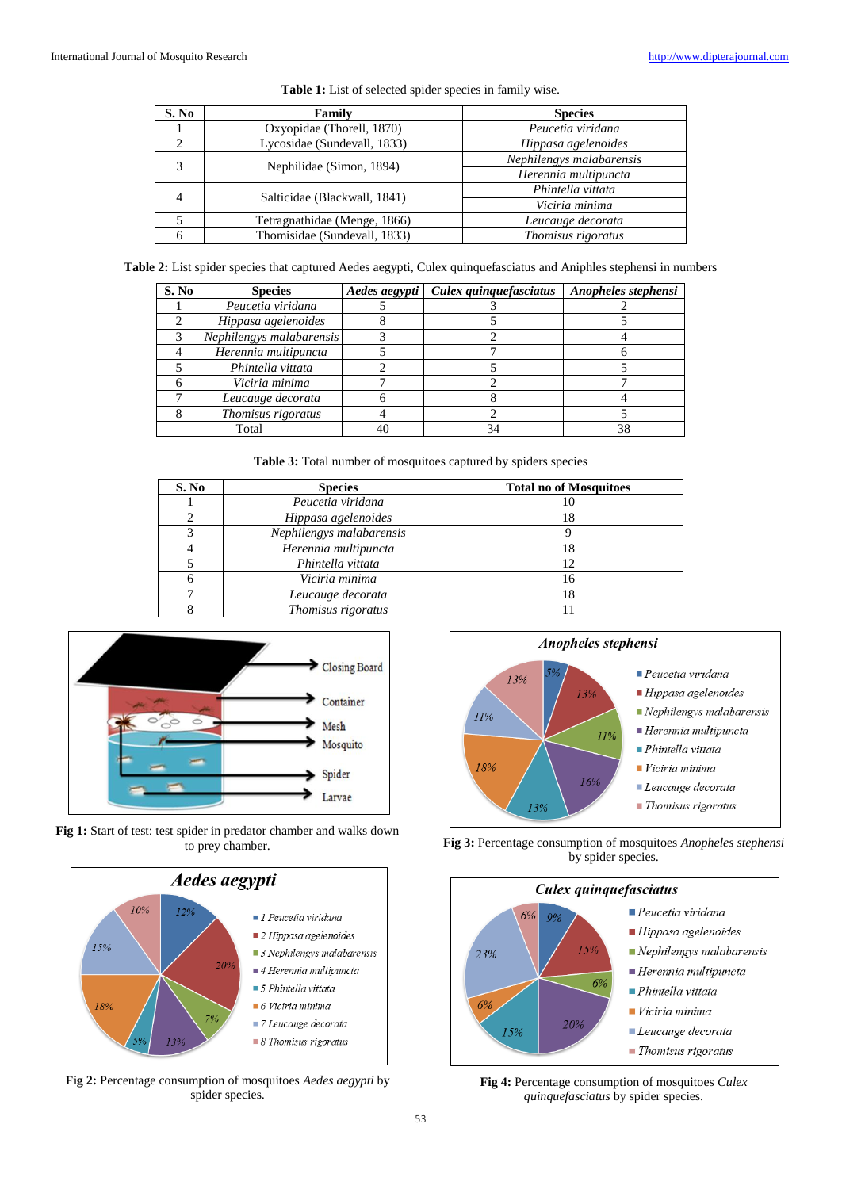| S. No | Family                       | <b>Species</b>           |  |
|-------|------------------------------|--------------------------|--|
|       | Oxyopidae (Thorell, 1870)    | Peucetia viridana        |  |
|       | Lycosidae (Sundevall, 1833)  | Hippasa agelenoides      |  |
| 3     | Nephilidae (Simon, 1894)     | Nephilengys malabarensis |  |
|       |                              | Herennia multipuncta     |  |
|       | Salticidae (Blackwall, 1841) | Phintella vittata        |  |
|       |                              | Viciria minima           |  |
|       | Tetragnathidae (Menge, 1866) | Leucauge decorata        |  |
|       | Thomisidae (Sundevall, 1833) | Thomisus rigoratus       |  |

**Table 1:** List of selected spider species in family wise.

**Table 2:** List spider species that captured Aedes aegypti, Culex quinquefasciatus and Aniphles stephensi in numbers

| S. No | <b>Species</b>           | Aedes aegypti | Culex quinquefasciatus | Anopheles stephensi |
|-------|--------------------------|---------------|------------------------|---------------------|
|       | Peucetia viridana        |               |                        |                     |
|       | Hippasa agelenoides      |               |                        |                     |
|       | Nephilengys malabarensis |               |                        |                     |
|       | Herennia multipuncta     |               |                        |                     |
|       | Phintella vittata        |               |                        |                     |
|       | Viciria minima           |               |                        |                     |
|       | Leucauge decorata        |               |                        |                     |
|       | Thomisus rigoratus       |               |                        |                     |
| Total |                          | 40            | 34                     | 38                  |

**Table 3:** Total number of mosquitoes captured by spiders species

| S. No | <b>Species</b>           | <b>Total no of Mosquitoes</b> |
|-------|--------------------------|-------------------------------|
|       | Peucetia viridana        |                               |
|       | Hippasa agelenoides      | 18                            |
|       | Nephilengys malabarensis |                               |
|       | Herennia multipuncta     | 18                            |
|       | Phintella vittata        | 12                            |
|       | Viciria minima           | 16                            |
|       | Leucauge decorata        | 18                            |
|       | Thomisus rigoratus       |                               |



**Fig 1:** Start of test: test spider in predator chamber and walks down to prey chamber.



**Fig 2:** Percentage consumption of mosquitoes *Aedes aegypti* by spider species.



**Fig 3:** Percentage consumption of mosquitoes *Anopheles stephensi*  by spider species.



**Fig 4:** Percentage consumption of mosquitoes *Culex quinquefasciatus* by spider species.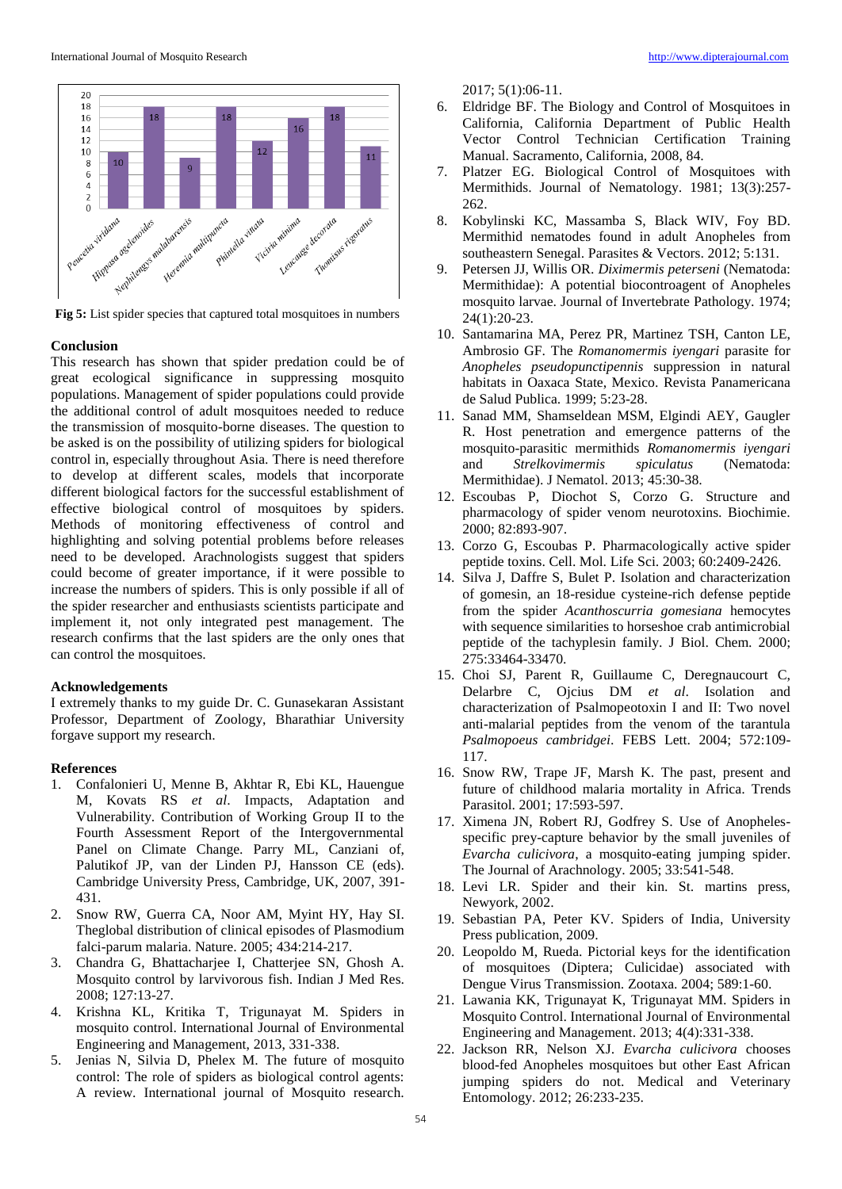

**Fig 5:** List spider species that captured total mosquitoes in numbers

#### **Conclusion**

This research has shown that spider predation could be of great ecological significance in suppressing mosquito populations. Management of spider populations could provide the additional control of adult mosquitoes needed to reduce the transmission of mosquito-borne diseases. The question to be asked is on the possibility of utilizing spiders for biological control in, especially throughout Asia. There is need therefore to develop at different scales, models that incorporate different biological factors for the successful establishment of effective biological control of mosquitoes by spiders. Methods of monitoring effectiveness of control and highlighting and solving potential problems before releases need to be developed. Arachnologists suggest that spiders could become of greater importance, if it were possible to increase the numbers of spiders. This is only possible if all of the spider researcher and enthusiasts scientists participate and implement it, not only integrated pest management. The research confirms that the last spiders are the only ones that can control the mosquitoes.

## **Acknowledgements**

I extremely thanks to my guide Dr. C. Gunasekaran Assistant Professor, Department of Zoology, Bharathiar University forgave support my research.

#### **References**

- 1. Confalonieri U, Menne B, Akhtar R, Ebi KL, Hauengue M, Kovats RS *et al*. Impacts, Adaptation and Vulnerability. Contribution of Working Group II to the Fourth Assessment Report of the Intergovernmental Panel on Climate Change. Parry ML, Canziani of, Palutikof JP, van der Linden PJ, Hansson CE (eds). Cambridge University Press, Cambridge, UK, 2007, 391- 431.
- 2. Snow RW, Guerra CA, Noor AM, Myint HY, Hay SI. Theglobal distribution of clinical episodes of Plasmodium falci-parum malaria. Nature. 2005; 434:214-217.
- 3. Chandra G, Bhattacharjee I, Chatterjee SN, Ghosh A. Mosquito control by larvivorous fish. Indian J Med Res. 2008; 127:13-27.
- 4. Krishna KL, Kritika T, Trigunayat M. Spiders in mosquito control. International Journal of Environmental Engineering and Management, 2013, 331-338.
- 5. Jenias N, Silvia D, Phelex M. The future of mosquito control: The role of spiders as biological control agents: A review. International journal of Mosquito research.

2017; 5(1):06-11.

- 6. Eldridge BF. The Biology and Control of Mosquitoes in California, California Department of Public Health Vector Control Technician Certification Training Manual. Sacramento, California, 2008, 84.
- 7. Platzer EG. Biological Control of Mosquitoes with Mermithids. Journal of Nematology. 1981; 13(3):257- 262.
- 8. Kobylinski KC, Massamba S, Black WIV, Foy BD. Mermithid nematodes found in adult Anopheles from southeastern Senegal. Parasites & Vectors. 2012; 5:131.
- 9. Petersen JJ, Willis OR. *Diximermis peterseni* (Nematoda: Mermithidae): A potential biocontroagent of Anopheles mosquito larvae. Journal of Invertebrate Pathology. 1974; 24(1):20-23.
- 10. Santamarina MA, Perez PR, Martinez TSH, Canton LE, Ambrosio GF. The *Romanomermis iyengari* parasite for *Anopheles pseudopunctipennis* suppression in natural habitats in Oaxaca State, Mexico. Revista Panamericana de Salud Publica. 1999; 5:23-28.
- 11. Sanad MM, Shamseldean MSM, Elgindi AEY, Gaugler R. Host penetration and emergence patterns of the mosquito-parasitic mermithids *Romanomermis iyengari* and *Strelkovimermis spiculatus* (Nematoda: Mermithidae). J Nematol. 2013; 45:30-38.
- 12. Escoubas P, Diochot S, Corzo G. Structure and pharmacology of spider venom neurotoxins. Biochimie. 2000; 82:893-907.
- 13. Corzo G, Escoubas P. Pharmacologically active spider peptide toxins. Cell. Mol. Life Sci. 2003; 60:2409-2426.
- 14. Silva J, Daffre S, Bulet P. Isolation and characterization of gomesin, an 18-residue cysteine-rich defense peptide from the spider *Acanthoscurria gomesiana* hemocytes with sequence similarities to horseshoe crab antimicrobial peptide of the tachyplesin family. J Biol. Chem. 2000; 275:33464-33470.
- 15. Choi SJ, Parent R, Guillaume C, Deregnaucourt C, Delarbre C, Ojcius DM *et al*. Isolation and characterization of Psalmopeotoxin I and II: Two novel anti-malarial peptides from the venom of the tarantula *Psalmopoeus cambridgei*. FEBS Lett. 2004; 572:109- 117.
- 16. Snow RW, Trape JF, Marsh K. The past, present and future of childhood malaria mortality in Africa. Trends Parasitol. 2001; 17:593-597.
- 17. Ximena JN, Robert RJ, Godfrey S. Use of Anophelesspecific prey-capture behavior by the small juveniles of *Evarcha culicivora*, a mosquito-eating jumping spider. The Journal of Arachnology. 2005; 33:541-548.
- 18. Levi LR. Spider and their kin. St. martins press, Newyork, 2002.
- 19. Sebastian PA, Peter KV. Spiders of India, University Press publication, 2009.
- 20. Leopoldo M, Rueda. Pictorial keys for the identification of mosquitoes (Diptera; Culicidae) associated with Dengue Virus Transmission. Zootaxa. 2004; 589:1-60.
- 21. Lawania KK, Trigunayat K, Trigunayat MM. Spiders in Mosquito Control. International Journal of Environmental Engineering and Management. 2013; 4(4):331-338.
- 22. Jackson RR, Nelson XJ. *Evarcha culicivora* chooses blood-fed Anopheles mosquitoes but other East African jumping spiders do not. Medical and Veterinary Entomology. 2012; 26:233-235.